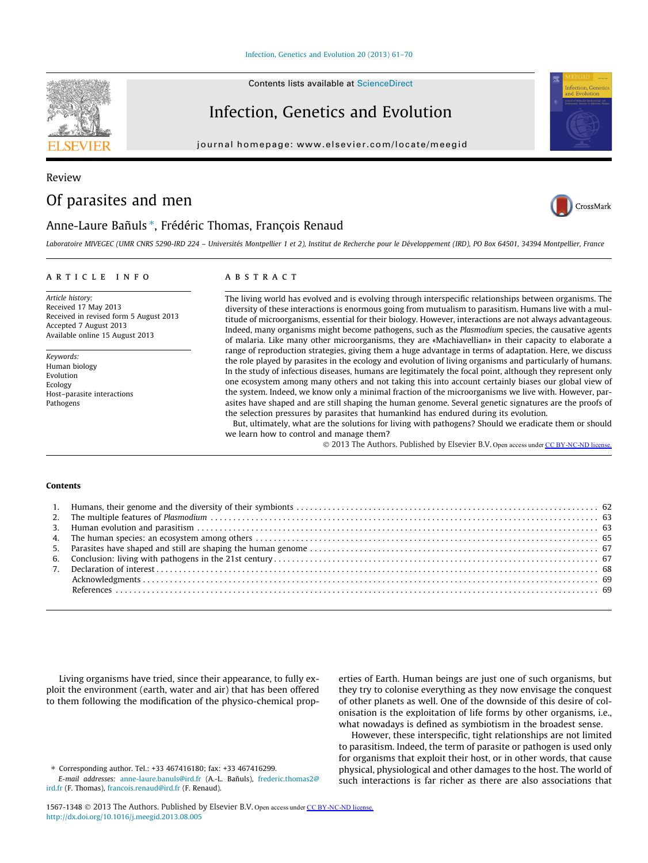Contents lists available at [ScienceDirect](http://www.sciencedirect.com/science/journal/15671348)

# Infection, Genetics and Evolution

journal homepage: [www.elsevier.com/locate/meegid](http://www.elsevier.com/locate/meegid)

# Review Of parasites and men



Laboratoire MIVEGEC (UMR CNRS 5290-IRD 224 – Universités Montpellier 1 et 2), Institut de Recherche pour le Développement (IRD), PO Box 64501, 34394 Montpellier, France

### article info

Article history: Received 17 May 2013 Received in revised form 5 August 2013 Accepted 7 August 2013 Available online 15 August 2013

Keywords: Human biology Evolution Ecology Host–parasite interactions Pathogens

## **ABSTRACT**

The living world has evolved and is evolving through interspecific relationships between organisms. The diversity of these interactions is enormous going from mutualism to parasitism. Humans live with a multitude of microorganisms, essential for their biology. However, interactions are not always advantageous. Indeed, many organisms might become pathogens, such as the Plasmodium species, the causative agents of malaria. Like many other microorganisms, they are «Machiavellian» in their capacity to elaborate a range of reproduction strategies, giving them a huge advantage in terms of adaptation. Here, we discuss the role played by parasites in the ecology and evolution of living organisms and particularly of humans. In the study of infectious diseases, humans are legitimately the focal point, although they represent only one ecosystem among many others and not taking this into account certainly biases our global view of the system. Indeed, we know only a minimal fraction of the microorganisms we live with. However, parasites have shaped and are still shaping the human genome. Several genetic signatures are the proofs of the selection pressures by parasites that humankind has endured during its evolution.

But, ultimately, what are the solutions for living with pathogens? Should we eradicate them or should we learn how to control and manage them?

© 2013 The Authors. Published by Elsevier B.V. Open access under [CC BY-NC-ND license.](http://creativecommons.org/licenses/by-nc-nd/3.0/)

#### Contents

Living organisms have tried, since their appearance, to fully exploit the environment (earth, water and air) that has been offered to them following the modification of the physico-chemical prop-

⇑ Corresponding author. Tel.: +33 467416180; fax: +33 467416299.

E-mail addresses: [anne-laure.banuls@ird.fr](mailto:anne-laure.banuls@ird.fr) (A.-L. Bañuls), [frederic.thomas2@](mailto:frederic.thomas2@ird.fr) [ird.fr](mailto:frederic.thomas2@ird.fr) (F. Thomas), [francois.renaud@ird.fr](mailto:francois.renaud@ird.fr) (F. Renaud).

erties of Earth. Human beings are just one of such organisms, but they try to colonise everything as they now envisage the conquest of other planets as well. One of the downside of this desire of colonisation is the exploitation of life forms by other organisms, i.e., what nowadays is defined as symbiotism in the broadest sense.

However, these interspecific, tight relationships are not limited to parasitism. Indeed, the term of parasite or pathogen is used only for organisms that exploit their host, or in other words, that cause physical, physiological and other damages to the host. The world of such interactions is far richer as there are also associations that





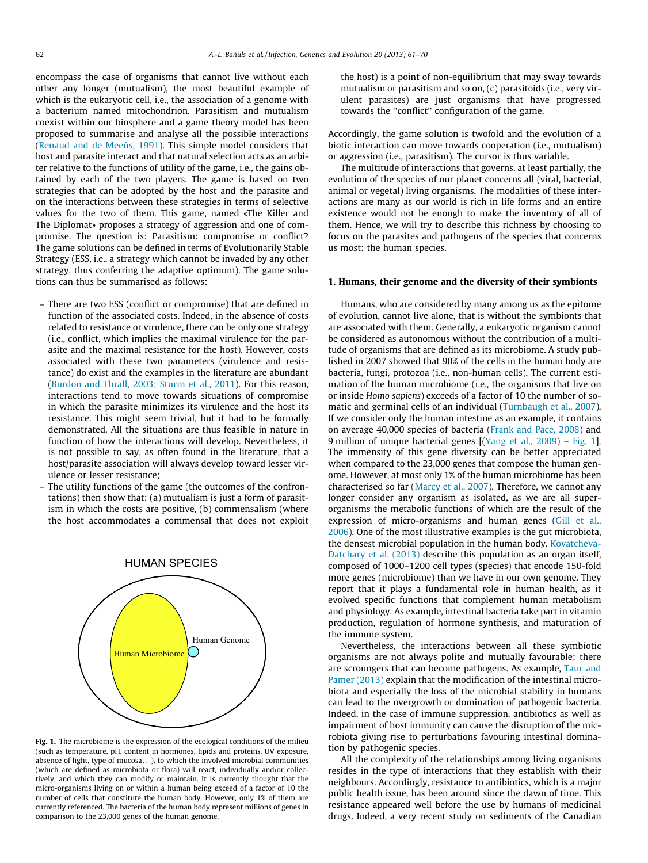encompass the case of organisms that cannot live without each other any longer (mutualism), the most beautiful example of which is the eukaryotic cell, i.e., the association of a genome with a bacterium named mitochondrion. Parasitism and mutualism coexist within our biosphere and a game theory model has been proposed to summarise and analyse all the possible interactions ([Renaud and de Meeûs, 1991](#page-9-0)). This simple model considers that host and parasite interact and that natural selection acts as an arbiter relative to the functions of utility of the game, i.e., the gains obtained by each of the two players. The game is based on two strategies that can be adopted by the host and the parasite and on the interactions between these strategies in terms of selective values for the two of them. This game, named «The Killer and The Diplomat» proposes a strategy of aggression and one of compromise. The question is: Parasitism: compromise or conflict? The game solutions can be defined in terms of Evolutionarily Stable Strategy (ESS, i.e., a strategy which cannot be invaded by any other strategy, thus conferring the adaptive optimum). The game solutions can thus be summarised as follows:

- There are two ESS (conflict or compromise) that are defined in function of the associated costs. Indeed, in the absence of costs related to resistance or virulence, there can be only one strategy (i.e., conflict, which implies the maximal virulence for the parasite and the maximal resistance for the host). However, costs associated with these two parameters (virulence and resistance) do exist and the examples in the literature are abundant [\(Burdon and Thrall, 2003; Sturm et al., 2011](#page-8-0)). For this reason, interactions tend to move towards situations of compromise in which the parasite minimizes its virulence and the host its resistance. This might seem trivial, but it had to be formally demonstrated. All the situations are thus feasible in nature in function of how the interactions will develop. Nevertheless, it is not possible to say, as often found in the literature, that a host/parasite association will always develop toward lesser virulence or lesser resistance;
- The utility functions of the game (the outcomes of the confrontations) then show that: (a) mutualism is just a form of parasitism in which the costs are positive, (b) commensalism (where the host accommodates a commensal that does not exploit



Fig. 1. The microbiome is the expression of the ecological conditions of the milieu (such as temperature, pH, content in hormones, lipids and proteins, UV exposure, absence of light, type of mucosa...), to which the involved microbial communities (which are defined as microbiota or flora) will react, individually and/or collectively, and which they can modify or maintain. It is currently thought that the micro-organisms living on or within a human being exceed of a factor of 10 the number of cells that constitute the human body. However, only 1% of them are currently referenced. The bacteria of the human body represent millions of genes in comparison to the 23,000 genes of the human genome.

the host) is a point of non-equilibrium that may sway towards mutualism or parasitism and so on, (c) parasitoids (i.e., very virulent parasites) are just organisms that have progressed towards the ''conflict'' configuration of the game.

Accordingly, the game solution is twofold and the evolution of a biotic interaction can move towards cooperation (i.e., mutualism) or aggression (i.e., parasitism). The cursor is thus variable.

The multitude of interactions that governs, at least partially, the evolution of the species of our planet concerns all (viral, bacterial, animal or vegetal) living organisms. The modalities of these interactions are many as our world is rich in life forms and an entire existence would not be enough to make the inventory of all of them. Hence, we will try to describe this richness by choosing to focus on the parasites and pathogens of the species that concerns us most: the human species.

#### 1. Humans, their genome and the diversity of their symbionts

Humans, who are considered by many among us as the epitome of evolution, cannot live alone, that is without the symbionts that are associated with them. Generally, a eukaryotic organism cannot be considered as autonomous without the contribution of a multitude of organisms that are defined as its microbiome. A study published in 2007 showed that 90% of the cells in the human body are bacteria, fungi, protozoa (i.e., non-human cells). The current estimation of the human microbiome (i.e., the organisms that live on or inside Homo sapiens) exceeds of a factor of 10 the number of somatic and germinal cells of an individual ([Turnbaugh et al., 2007\)](#page-9-0). If we consider only the human intestine as an example, it contains on average 40,000 species of bacteria [\(Frank and Pace, 2008\)](#page-8-0) and 9 million of unique bacterial genes [[\(Yang et al., 2009](#page-9-0)) – Fig. 1]. The immensity of this gene diversity can be better appreciated when compared to the 23,000 genes that compose the human genome. However, at most only 1% of the human microbiome has been characterised so far [\(Marcy et al., 2007](#page-8-0)). Therefore, we cannot any longer consider any organism as isolated, as we are all superorganisms the metabolic functions of which are the result of the expression of micro-organisms and human genes ([Gill et al.,](#page-8-0) [2006\)](#page-8-0). One of the most illustrative examples is the gut microbiota, the densest microbial population in the human body. [Kovatcheva-](#page-8-0)[Datchary et al. \(2013\)](#page-8-0) describe this population as an organ itself, composed of 1000–1200 cell types (species) that encode 150-fold more genes (microbiome) than we have in our own genome. They report that it plays a fundamental role in human health, as it evolved specific functions that complement human metabolism and physiology. As example, intestinal bacteria take part in vitamin production, regulation of hormone synthesis, and maturation of the immune system.

Nevertheless, the interactions between all these symbiotic organisms are not always polite and mutually favourable; there are scroungers that can become pathogens. As example, [Taur and](#page-9-0) [Pamer \(2013\)](#page-9-0) explain that the modification of the intestinal microbiota and especially the loss of the microbial stability in humans can lead to the overgrowth or domination of pathogenic bacteria. Indeed, in the case of immune suppression, antibiotics as well as impairment of host immunity can cause the disruption of the microbiota giving rise to perturbations favouring intestinal domination by pathogenic species.

All the complexity of the relationships among living organisms resides in the type of interactions that they establish with their neighbours. Accordingly, resistance to antibiotics, which is a major public health issue, has been around since the dawn of time. This resistance appeared well before the use by humans of medicinal drugs. Indeed, a very recent study on sediments of the Canadian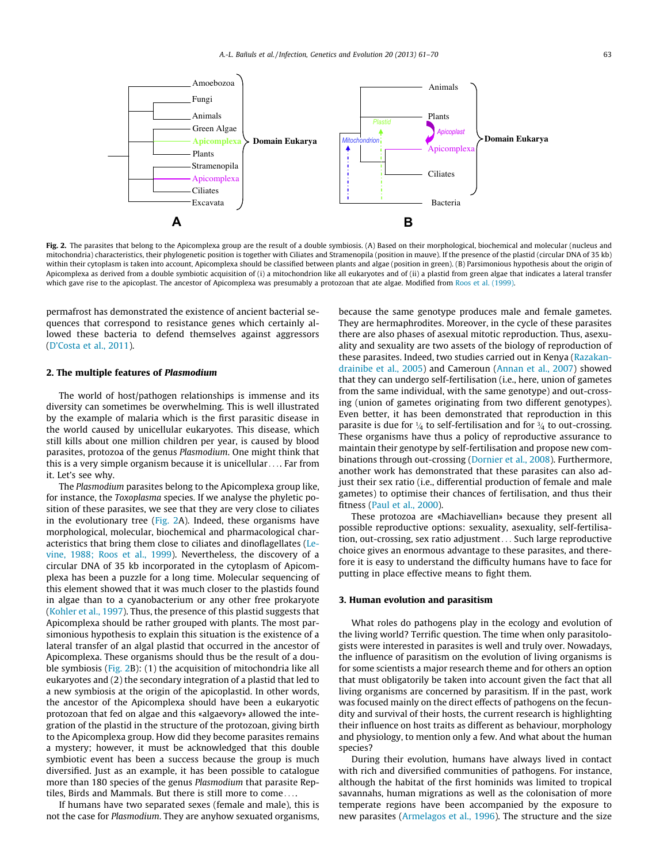

Fig. 2. The parasites that belong to the Apicomplexa group are the result of a double symbiosis. (A) Based on their morphological, biochemical and molecular (nucleus and mitochondria) characteristics, their phylogenetic position is together with Ciliates and Stramenopila (position in mauve). If the presence of the plastid (circular DNA of 35 kb) within their cytoplasm is taken into account, Apicomplexa should be classified between plants and algae (position in green). (B) Parsimonious hypothesis about the origin of Apicomplexa as derived from a double symbiotic acquisition of (i) a mitochondrion like all eukaryotes and of (ii) a plastid from green algae that indicates a lateral transfer which gave rise to the apicoplast. The ancestor of Apicomplexa was presumably a protozoan that ate algae. Modified from [Roos et al. \(1999\)](#page-9-0).

permafrost has demonstrated the existence of ancient bacterial sequences that correspond to resistance genes which certainly allowed these bacteria to defend themselves against aggressors ([D'Costa et al., 2011\)](#page-8-0).

### 2. The multiple features of Plasmodium

The world of host/pathogen relationships is immense and its diversity can sometimes be overwhelming. This is well illustrated by the example of malaria which is the first parasitic disease in the world caused by unicellular eukaryotes. This disease, which still kills about one million children per year, is caused by blood parasites, protozoa of the genus Plasmodium. One might think that this is a very simple organism because it is unicellular .... Far from it. Let's see why.

The Plasmodium parasites belong to the Apicomplexa group like, for instance, the Toxoplasma species. If we analyse the phyletic position of these parasites, we see that they are very close to ciliates in the evolutionary tree (Fig. 2A). Indeed, these organisms have morphological, molecular, biochemical and pharmacological characteristics that bring them close to ciliates and dinoflagellates ([Le](#page-8-0)[vine, 1988; Roos et al., 1999\)](#page-8-0). Nevertheless, the discovery of a circular DNA of 35 kb incorporated in the cytoplasm of Apicomplexa has been a puzzle for a long time. Molecular sequencing of this element showed that it was much closer to the plastids found in algae than to a cyanobacterium or any other free prokaryote ([Kohler et al., 1997](#page-8-0)). Thus, the presence of this plastid suggests that Apicomplexa should be rather grouped with plants. The most parsimonious hypothesis to explain this situation is the existence of a lateral transfer of an algal plastid that occurred in the ancestor of Apicomplexa. These organisms should thus be the result of a double symbiosis (Fig. 2B): (1) the acquisition of mitochondria like all eukaryotes and (2) the secondary integration of a plastid that led to a new symbiosis at the origin of the apicoplastid. In other words, the ancestor of the Apicomplexa should have been a eukaryotic protozoan that fed on algae and this «algaevory» allowed the integration of the plastid in the structure of the protozoan, giving birth to the Apicomplexa group. How did they become parasites remains a mystery; however, it must be acknowledged that this double symbiotic event has been a success because the group is much diversified. Just as an example, it has been possible to catalogue more than 180 species of the genus Plasmodium that parasite Reptiles, Birds and Mammals. But there is still more to come....

If humans have two separated sexes (female and male), this is not the case for Plasmodium. They are anyhow sexuated organisms, because the same genotype produces male and female gametes. They are hermaphrodites. Moreover, in the cycle of these parasites there are also phases of asexual mitotic reproduction. Thus, asexuality and sexuality are two assets of the biology of reproduction of these parasites. Indeed, two studies carried out in Kenya ([Razakan](#page-9-0)[drainibe et al., 2005\)](#page-9-0) and Cameroun ([Annan et al., 2007](#page-8-0)) showed that they can undergo self-fertilisation (i.e., here, union of gametes from the same individual, with the same genotype) and out-crossing (union of gametes originating from two different genotypes). Even better, it has been demonstrated that reproduction in this parasite is due for  $\frac{1}{4}$  to self-fertilisation and for  $\frac{3}{4}$  to out-crossing. These organisms have thus a policy of reproductive assurance to maintain their genotype by self-fertilisation and propose new combinations through out-crossing ([Dornier et al., 2008\)](#page-8-0). Furthermore, another work has demonstrated that these parasites can also adjust their sex ratio (i.e., differential production of female and male gametes) to optimise their chances of fertilisation, and thus their fitness ([Paul et al., 2000\)](#page-9-0).

These protozoa are «Machiavellian» because they present all possible reproductive options: sexuality, asexuality, self-fertilisation, out-crossing, sex ratio adjustment... Such large reproductive choice gives an enormous advantage to these parasites, and therefore it is easy to understand the difficulty humans have to face for putting in place effective means to fight them.

### 3. Human evolution and parasitism

What roles do pathogens play in the ecology and evolution of the living world? Terrific question. The time when only parasitologists were interested in parasites is well and truly over. Nowadays, the influence of parasitism on the evolution of living organisms is for some scientists a major research theme and for others an option that must obligatorily be taken into account given the fact that all living organisms are concerned by parasitism. If in the past, work was focused mainly on the direct effects of pathogens on the fecundity and survival of their hosts, the current research is highlighting their influence on host traits as different as behaviour, morphology and physiology, to mention only a few. And what about the human species?

During their evolution, humans have always lived in contact with rich and diversified communities of pathogens. For instance, although the habitat of the first hominids was limited to tropical savannahs, human migrations as well as the colonisation of more temperate regions have been accompanied by the exposure to new parasites ([Armelagos et al., 1996\)](#page-8-0). The structure and the size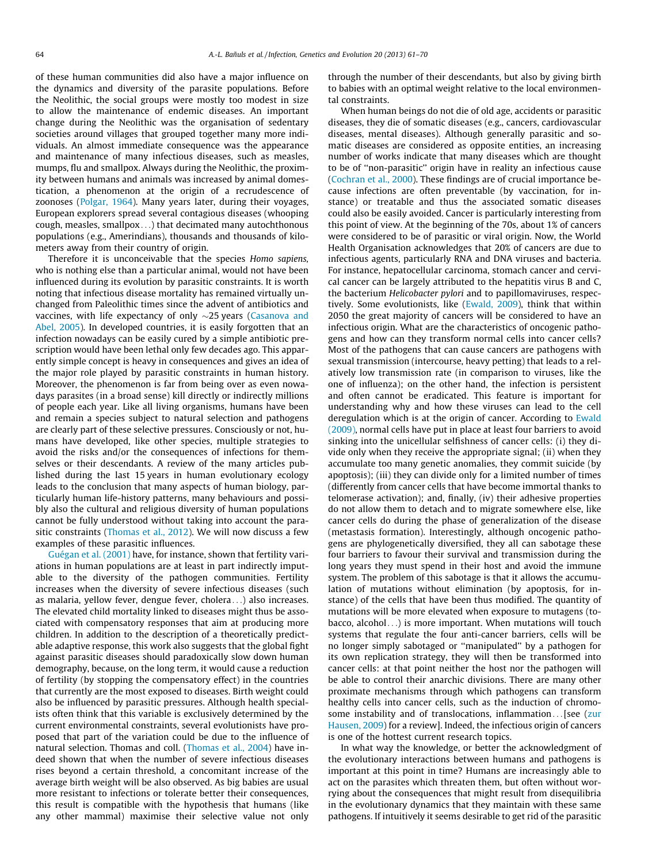of these human communities did also have a major influence on the dynamics and diversity of the parasite populations. Before the Neolithic, the social groups were mostly too modest in size to allow the maintenance of endemic diseases. An important change during the Neolithic was the organisation of sedentary societies around villages that grouped together many more individuals. An almost immediate consequence was the appearance and maintenance of many infectious diseases, such as measles, mumps, flu and smallpox. Always during the Neolithic, the proximity between humans and animals was increased by animal domestication, a phenomenon at the origin of a recrudescence of zoonoses ([Polgar, 1964\)](#page-9-0). Many years later, during their voyages, European explorers spread several contagious diseases (whooping cough, measles, smallpox...) that decimated many autochthonous populations (e.g., Amerindians), thousands and thousands of kilometers away from their country of origin.

Therefore it is unconceivable that the species Homo sapiens, who is nothing else than a particular animal, would not have been influenced during its evolution by parasitic constraints. It is worth noting that infectious disease mortality has remained virtually unchanged from Paleolithic times since the advent of antibiotics and vaccines, with life expectancy of only  ${\sim}25\,\mathrm{years}$  [\(Casanova and](#page-8-0) [Abel, 2005\)](#page-8-0). In developed countries, it is easily forgotten that an infection nowadays can be easily cured by a simple antibiotic prescription would have been lethal only few decades ago. This apparently simple concept is heavy in consequences and gives an idea of the major role played by parasitic constraints in human history. Moreover, the phenomenon is far from being over as even nowadays parasites (in a broad sense) kill directly or indirectly millions of people each year. Like all living organisms, humans have been and remain a species subject to natural selection and pathogens are clearly part of these selective pressures. Consciously or not, humans have developed, like other species, multiple strategies to avoid the risks and/or the consequences of infections for themselves or their descendants. A review of the many articles published during the last 15 years in human evolutionary ecology leads to the conclusion that many aspects of human biology, particularly human life-history patterns, many behaviours and possibly also the cultural and religious diversity of human populations cannot be fully understood without taking into account the parasitic constraints ([Thomas et al., 2012](#page-9-0)). We will now discuss a few examples of these parasitic influences.

[Guégan et al. \(2001\)](#page-8-0) have, for instance, shown that fertility variations in human populations are at least in part indirectly imputable to the diversity of the pathogen communities. Fertility increases when the diversity of severe infectious diseases (such as malaria, yellow fever, dengue fever, cholera...) also increases. The elevated child mortality linked to diseases might thus be associated with compensatory responses that aim at producing more children. In addition to the description of a theoretically predictable adaptive response, this work also suggests that the global fight against parasitic diseases should paradoxically slow down human demography, because, on the long term, it would cause a reduction of fertility (by stopping the compensatory effect) in the countries that currently are the most exposed to diseases. Birth weight could also be influenced by parasitic pressures. Although health specialists often think that this variable is exclusively determined by the current environmental constraints, several evolutionists have proposed that part of the variation could be due to the influence of natural selection. Thomas and coll. ([Thomas et al., 2004\)](#page-9-0) have indeed shown that when the number of severe infectious diseases rises beyond a certain threshold, a concomitant increase of the average birth weight will be also observed. As big babies are usual more resistant to infections or tolerate better their consequences, this result is compatible with the hypothesis that humans (like any other mammal) maximise their selective value not only

through the number of their descendants, but also by giving birth to babies with an optimal weight relative to the local environmental constraints.

When human beings do not die of old age, accidents or parasitic diseases, they die of somatic diseases (e.g., cancers, cardiovascular diseases, mental diseases). Although generally parasitic and somatic diseases are considered as opposite entities, an increasing number of works indicate that many diseases which are thought to be of ''non-parasitic'' origin have in reality an infectious cause ([Cochran et al., 2000](#page-8-0)). These findings are of crucial importance because infections are often preventable (by vaccination, for instance) or treatable and thus the associated somatic diseases could also be easily avoided. Cancer is particularly interesting from this point of view. At the beginning of the 70s, about 1% of cancers were considered to be of parasitic or viral origin. Now, the World Health Organisation acknowledges that 20% of cancers are due to infectious agents, particularly RNA and DNA viruses and bacteria. For instance, hepatocellular carcinoma, stomach cancer and cervical cancer can be largely attributed to the hepatitis virus B and C, the bacterium Helicobacter pylori and to papillomaviruses, respectively. Some evolutionists, like [\(Ewald, 2009](#page-8-0)), think that within 2050 the great majority of cancers will be considered to have an infectious origin. What are the characteristics of oncogenic pathogens and how can they transform normal cells into cancer cells? Most of the pathogens that can cause cancers are pathogens with sexual transmission (intercourse, heavy petting) that leads to a relatively low transmission rate (in comparison to viruses, like the one of influenza); on the other hand, the infection is persistent and often cannot be eradicated. This feature is important for understanding why and how these viruses can lead to the cell deregulation which is at the origin of cancer. According to [Ewald](#page-8-0) [\(2009\),](#page-8-0) normal cells have put in place at least four barriers to avoid sinking into the unicellular selfishness of cancer cells: (i) they divide only when they receive the appropriate signal; (ii) when they accumulate too many genetic anomalies, they commit suicide (by apoptosis); (iii) they can divide only for a limited number of times (differently from cancer cells that have become immortal thanks to telomerase activation); and, finally, (iv) their adhesive properties do not allow them to detach and to migrate somewhere else, like cancer cells do during the phase of generalization of the disease (metastasis formation). Interestingly, although oncogenic pathogens are phylogenetically diversified, they all can sabotage these four barriers to favour their survival and transmission during the long years they must spend in their host and avoid the immune system. The problem of this sabotage is that it allows the accumulation of mutations without elimination (by apoptosis, for instance) of the cells that have been thus modified. The quantity of mutations will be more elevated when exposure to mutagens (tobacco, alcohol...) is more important. When mutations will touch systems that regulate the four anti-cancer barriers, cells will be no longer simply sabotaged or ''manipulated'' by a pathogen for its own replication strategy, they will then be transformed into cancer cells: at that point neither the host nor the pathogen will be able to control their anarchic divisions. There are many other proximate mechanisms through which pathogens can transform healthy cells into cancer cells, such as the induction of chromosome instability and of translocations, inflammation...[see [\(zur](#page-9-0) [Hausen, 2009\)](#page-9-0) for a review]. Indeed, the infectious origin of cancers is one of the hottest current research topics.

In what way the knowledge, or better the acknowledgment of the evolutionary interactions between humans and pathogens is important at this point in time? Humans are increasingly able to act on the parasites which threaten them, but often without worrying about the consequences that might result from disequilibria in the evolutionary dynamics that they maintain with these same pathogens. If intuitively it seems desirable to get rid of the parasitic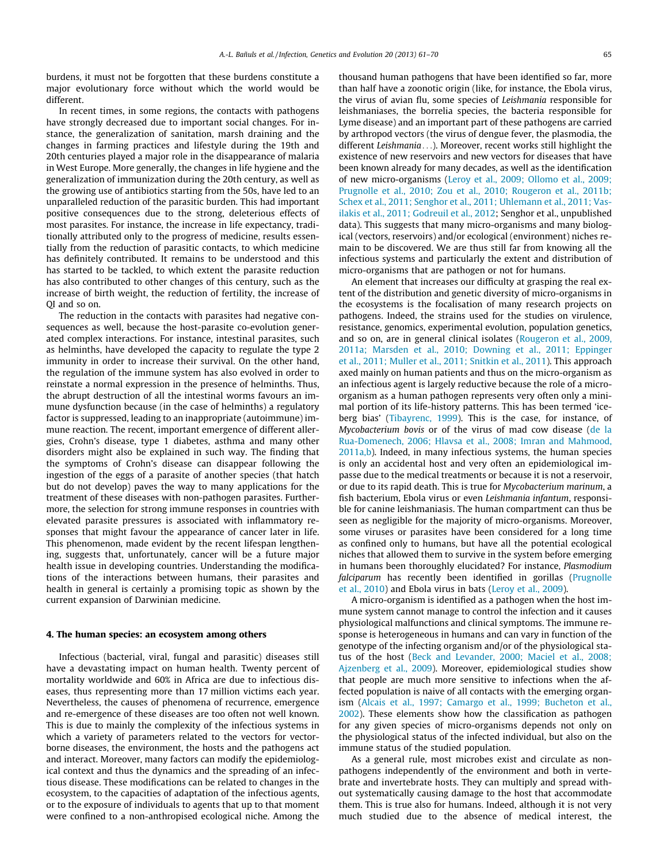burdens, it must not be forgotten that these burdens constitute a major evolutionary force without which the world would be different.

In recent times, in some regions, the contacts with pathogens have strongly decreased due to important social changes. For instance, the generalization of sanitation, marsh draining and the changes in farming practices and lifestyle during the 19th and 20th centuries played a major role in the disappearance of malaria in West Europe. More generally, the changes in life hygiene and the generalization of immunization during the 20th century, as well as the growing use of antibiotics starting from the 50s, have led to an unparalleled reduction of the parasitic burden. This had important positive consequences due to the strong, deleterious effects of most parasites. For instance, the increase in life expectancy, traditionally attributed only to the progress of medicine, results essentially from the reduction of parasitic contacts, to which medicine has definitely contributed. It remains to be understood and this has started to be tackled, to which extent the parasite reduction has also contributed to other changes of this century, such as the increase of birth weight, the reduction of fertility, the increase of QI and so on.

The reduction in the contacts with parasites had negative consequences as well, because the host-parasite co-evolution generated complex interactions. For instance, intestinal parasites, such as helminths, have developed the capacity to regulate the type 2 immunity in order to increase their survival. On the other hand, the regulation of the immune system has also evolved in order to reinstate a normal expression in the presence of helminths. Thus, the abrupt destruction of all the intestinal worms favours an immune dysfunction because (in the case of helminths) a regulatory factor is suppressed, leading to an inappropriate (autoimmune) immune reaction. The recent, important emergence of different allergies, Crohn's disease, type 1 diabetes, asthma and many other disorders might also be explained in such way. The finding that the symptoms of Crohn's disease can disappear following the ingestion of the eggs of a parasite of another species (that hatch but do not develop) paves the way to many applications for the treatment of these diseases with non-pathogen parasites. Furthermore, the selection for strong immune responses in countries with elevated parasite pressures is associated with inflammatory responses that might favour the appearance of cancer later in life. This phenomenon, made evident by the recent lifespan lengthening, suggests that, unfortunately, cancer will be a future major health issue in developing countries. Understanding the modifications of the interactions between humans, their parasites and health in general is certainly a promising topic as shown by the current expansion of Darwinian medicine.

### 4. The human species: an ecosystem among others

Infectious (bacterial, viral, fungal and parasitic) diseases still have a devastating impact on human health. Twenty percent of mortality worldwide and 60% in Africa are due to infectious diseases, thus representing more than 17 million victims each year. Nevertheless, the causes of phenomena of recurrence, emergence and re-emergence of these diseases are too often not well known. This is due to mainly the complexity of the infectious systems in which a variety of parameters related to the vectors for vectorborne diseases, the environment, the hosts and the pathogens act and interact. Moreover, many factors can modify the epidemiological context and thus the dynamics and the spreading of an infectious disease. These modifications can be related to changes in the ecosystem, to the capacities of adaptation of the infectious agents, or to the exposure of individuals to agents that up to that moment were confined to a non-anthropised ecological niche. Among the thousand human pathogens that have been identified so far, more than half have a zoonotic origin (like, for instance, the Ebola virus, the virus of avian flu, some species of Leishmania responsible for leishmaniases, the borrelia species, the bacteria responsible for Lyme disease) and an important part of these pathogens are carried by arthropod vectors (the virus of dengue fever, the plasmodia, the different Leishmania...). Moreover, recent works still highlight the existence of new reservoirs and new vectors for diseases that have been known already for many decades, as well as the identification of new micro-organisms [\(Leroy et al., 2009; Ollomo et al., 2009;](#page-8-0) [Prugnolle et al., 2010; Zou et al., 2010; Rougeron et al., 2011b;](#page-8-0) [Schex et al., 2011; Senghor et al., 2011; Uhlemann et al., 2011; Vas](#page-8-0)[ilakis et al., 2011; Godreuil et al., 2012;](#page-8-0) Senghor et al., unpublished data). This suggests that many micro-organisms and many biological (vectors, reservoirs) and/or ecological (environment) niches remain to be discovered. We are thus still far from knowing all the infectious systems and particularly the extent and distribution of micro-organisms that are pathogen or not for humans.

An element that increases our difficulty at grasping the real extent of the distribution and genetic diversity of micro-organisms in the ecosystems is the focalisation of many research projects on pathogens. Indeed, the strains used for the studies on virulence, resistance, genomics, experimental evolution, population genetics, and so on, are in general clinical isolates ([Rougeron et al., 2009,](#page-9-0) [2011a; Marsden et al., 2010; Downing et al., 2011; Eppinger](#page-9-0) [et al., 2011; Muller et al., 2011; Snitkin et al., 2011](#page-9-0)). This approach axed mainly on human patients and thus on the micro-organism as an infectious agent is largely reductive because the role of a microorganism as a human pathogen represents very often only a minimal portion of its life-history patterns. This has been termed 'iceberg bias' ([Tibayrenc, 1999\)](#page-9-0). This is the case, for instance, of Mycobacterium bovis or of the virus of mad cow disease ([de la](#page-8-0) [Rua-Domenech, 2006; Hlavsa et al., 2008; Imran and Mahmood,](#page-8-0) [2011a,b](#page-8-0)). Indeed, in many infectious systems, the human species is only an accidental host and very often an epidemiological impasse due to the medical treatments or because it is not a reservoir, or due to its rapid death. This is true for Mycobacterium marinum, a fish bacterium, Ebola virus or even Leishmania infantum, responsible for canine leishmaniasis. The human compartment can thus be seen as negligible for the majority of micro-organisms. Moreover, some viruses or parasites have been considered for a long time as confined only to humans, but have all the potential ecological niches that allowed them to survive in the system before emerging in humans been thoroughly elucidated? For instance, Plasmodium falciparum has recently been identified in gorillas ([Prugnolle](#page-9-0) [et al., 2010\)](#page-9-0) and Ebola virus in bats [\(Leroy et al., 2009\)](#page-8-0).

A micro-organism is identified as a pathogen when the host immune system cannot manage to control the infection and it causes physiological malfunctions and clinical symptoms. The immune response is heterogeneous in humans and can vary in function of the genotype of the infecting organism and/or of the physiological status of the host ([Beck and Levander, 2000; Maciel et al., 2008;](#page-8-0) [Ajzenberg et al., 2009](#page-8-0)). Moreover, epidemiological studies show that people are much more sensitive to infections when the affected population is naive of all contacts with the emerging organism [\(Alcais et al., 1997; Camargo et al., 1999; Bucheton et al.,](#page-8-0) [2002](#page-8-0)). These elements show how the classification as pathogen for any given species of micro-organisms depends not only on the physiological status of the infected individual, but also on the immune status of the studied population.

As a general rule, most microbes exist and circulate as nonpathogens independently of the environment and both in vertebrate and invertebrate hosts. They can multiply and spread without systematically causing damage to the host that accommodate them. This is true also for humans. Indeed, although it is not very much studied due to the absence of medical interest, the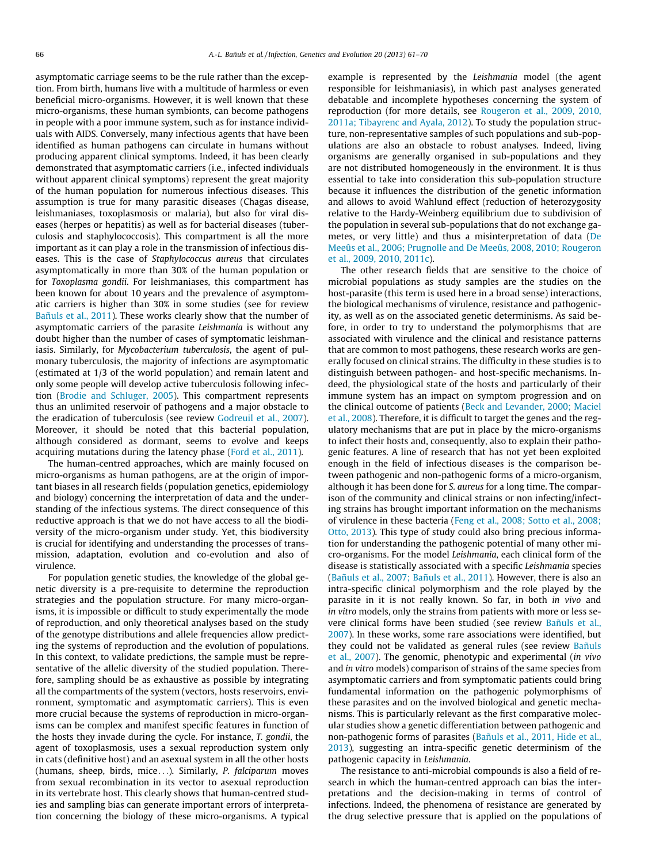asymptomatic carriage seems to be the rule rather than the exception. From birth, humans live with a multitude of harmless or even beneficial micro-organisms. However, it is well known that these micro-organisms, these human symbionts, can become pathogens in people with a poor immune system, such as for instance individuals with AIDS. Conversely, many infectious agents that have been identified as human pathogens can circulate in humans without producing apparent clinical symptoms. Indeed, it has been clearly demonstrated that asymptomatic carriers (i.e., infected individuals without apparent clinical symptoms) represent the great majority of the human population for numerous infectious diseases. This assumption is true for many parasitic diseases (Chagas disease, leishmaniases, toxoplasmosis or malaria), but also for viral diseases (herpes or hepatitis) as well as for bacterial diseases (tuberculosis and staphylococcosis). This compartment is all the more important as it can play a role in the transmission of infectious diseases. This is the case of Staphylococcus aureus that circulates asymptomatically in more than 30% of the human population or for Toxoplasma gondii. For leishmaniases, this compartment has been known for about 10 years and the prevalence of asymptomatic carriers is higher than 30% in some studies (see for review [Bañuls et al., 2011\)](#page-8-0). These works clearly show that the number of asymptomatic carriers of the parasite Leishmania is without any doubt higher than the number of cases of symptomatic leishmaniasis. Similarly, for Mycobacterium tuberculosis, the agent of pulmonary tuberculosis, the majority of infections are asymptomatic (estimated at 1/3 of the world population) and remain latent and only some people will develop active tuberculosis following infection [\(Brodie and Schluger, 2005](#page-8-0)). This compartment represents thus an unlimited reservoir of pathogens and a major obstacle to the eradication of tuberculosis (see review [Godreuil et al., 2007\)](#page-8-0). Moreover, it should be noted that this bacterial population, although considered as dormant, seems to evolve and keeps acquiring mutations during the latency phase [\(Ford et al., 2011\)](#page-8-0).

The human-centred approaches, which are mainly focused on micro-organisms as human pathogens, are at the origin of important biases in all research fields (population genetics, epidemiology and biology) concerning the interpretation of data and the understanding of the infectious systems. The direct consequence of this reductive approach is that we do not have access to all the biodiversity of the micro-organism under study. Yet, this biodiversity is crucial for identifying and understanding the processes of transmission, adaptation, evolution and co-evolution and also of virulence.

For population genetic studies, the knowledge of the global genetic diversity is a pre-requisite to determine the reproduction strategies and the population structure. For many micro-organisms, it is impossible or difficult to study experimentally the mode of reproduction, and only theoretical analyses based on the study of the genotype distributions and allele frequencies allow predicting the systems of reproduction and the evolution of populations. In this context, to validate predictions, the sample must be representative of the allelic diversity of the studied population. Therefore, sampling should be as exhaustive as possible by integrating all the compartments of the system (vectors, hosts reservoirs, environment, symptomatic and asymptomatic carriers). This is even more crucial because the systems of reproduction in micro-organisms can be complex and manifest specific features in function of the hosts they invade during the cycle. For instance, T. gondii, the agent of toxoplasmosis, uses a sexual reproduction system only in cats (definitive host) and an asexual system in all the other hosts (humans, sheep, birds, mice...). Similarly, P. falciparum moves from sexual recombination in its vector to asexual reproduction in its vertebrate host. This clearly shows that human-centred studies and sampling bias can generate important errors of interpretation concerning the biology of these micro-organisms. A typical example is represented by the Leishmania model (the agent responsible for leishmaniasis), in which past analyses generated debatable and incomplete hypotheses concerning the system of reproduction (for more details, see [Rougeron et al., 2009, 2010,](#page-9-0) [2011a; Tibayrenc and Ayala, 2012](#page-9-0)). To study the population structure, non-representative samples of such populations and sub-populations are also an obstacle to robust analyses. Indeed, living organisms are generally organised in sub-populations and they are not distributed homogeneously in the environment. It is thus essential to take into consideration this sub-population structure because it influences the distribution of the genetic information and allows to avoid Wahlund effect (reduction of heterozygosity relative to the Hardy-Weinberg equilibrium due to subdivision of the population in several sub-populations that do not exchange gametes, or very little) and thus a misinterpretation of data ([De](#page-8-0) [Meeûs et al., 2006; Prugnolle and De Meeûs, 2008, 2010; Rougeron](#page-8-0) [et al., 2009, 2010, 2011c\)](#page-8-0).

The other research fields that are sensitive to the choice of microbial populations as study samples are the studies on the host-parasite (this term is used here in a broad sense) interactions, the biological mechanisms of virulence, resistance and pathogenicity, as well as on the associated genetic determinisms. As said before, in order to try to understand the polymorphisms that are associated with virulence and the clinical and resistance patterns that are common to most pathogens, these research works are generally focused on clinical strains. The difficulty in these studies is to distinguish between pathogen- and host-specific mechanisms. Indeed, the physiological state of the hosts and particularly of their immune system has an impact on symptom progression and on the clinical outcome of patients ([Beck and Levander, 2000; Maciel](#page-8-0) [et al., 2008](#page-8-0)). Therefore, it is difficult to target the genes and the regulatory mechanisms that are put in place by the micro-organisms to infect their hosts and, consequently, also to explain their pathogenic features. A line of research that has not yet been exploited enough in the field of infectious diseases is the comparison between pathogenic and non-pathogenic forms of a micro-organism, although it has been done for S. aureus for a long time. The comparison of the community and clinical strains or non infecting/infecting strains has brought important information on the mechanisms of virulence in these bacteria ([Feng et al., 2008; Sotto et al., 2008;](#page-8-0) [Otto, 2013\)](#page-8-0). This type of study could also bring precious information for understanding the pathogenic potential of many other micro-organisms. For the model Leishmania, each clinical form of the disease is statistically associated with a specific Leishmania species ([Bañuls et al., 2007; Bañuls et al., 2011](#page-8-0)). However, there is also an intra-specific clinical polymorphism and the role played by the parasite in it is not really known. So far, in both in vivo and in vitro models, only the strains from patients with more or less severe clinical forms have been studied (see review [Bañuls et al.,](#page-8-0) [2007\)](#page-8-0). In these works, some rare associations were identified, but they could not be validated as general rules (see review [Bañuls](#page-8-0) [et al., 2007](#page-8-0)). The genomic, phenotypic and experimental (in vivo and in vitro models) comparison of strains of the same species from asymptomatic carriers and from symptomatic patients could bring fundamental information on the pathogenic polymorphisms of these parasites and on the involved biological and genetic mechanisms. This is particularly relevant as the first comparative molecular studies show a genetic differentiation between pathogenic and non-pathogenic forms of parasites ([Bañuls et al., 2011, Hide et al.,](#page-8-0) [2013\)](#page-8-0), suggesting an intra-specific genetic determinism of the pathogenic capacity in Leishmania.

The resistance to anti-microbial compounds is also a field of research in which the human-centred approach can bias the interpretations and the decision-making in terms of control of infections. Indeed, the phenomena of resistance are generated by the drug selective pressure that is applied on the populations of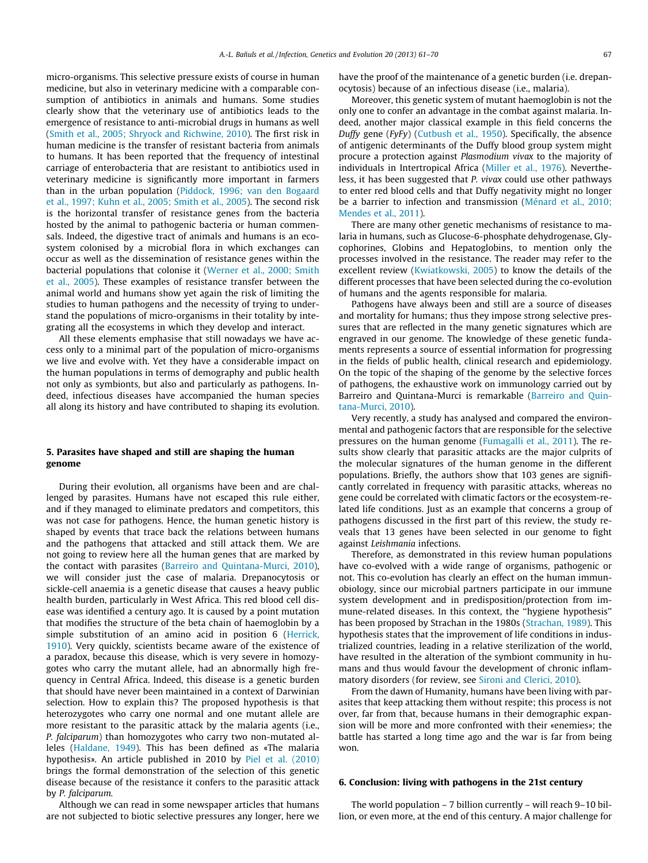micro-organisms. This selective pressure exists of course in human medicine, but also in veterinary medicine with a comparable consumption of antibiotics in animals and humans. Some studies clearly show that the veterinary use of antibiotics leads to the emergence of resistance to anti-microbial drugs in humans as well ([Smith et al., 2005; Shryock and Richwine, 2010](#page-9-0)). The first risk in human medicine is the transfer of resistant bacteria from animals to humans. It has been reported that the frequency of intestinal carriage of enterobacteria that are resistant to antibiotics used in veterinary medicine is significantly more important in farmers than in the urban population ([Piddock, 1996; van den Bogaard](#page-9-0) [et al., 1997; Kuhn et al., 2005; Smith et al., 2005\)](#page-9-0). The second risk is the horizontal transfer of resistance genes from the bacteria hosted by the animal to pathogenic bacteria or human commensals. Indeed, the digestive tract of animals and humans is an ecosystem colonised by a microbial flora in which exchanges can occur as well as the dissemination of resistance genes within the bacterial populations that colonise it [\(Werner et al., 2000; Smith](#page-9-0) [et al., 2005\)](#page-9-0). These examples of resistance transfer between the animal world and humans show yet again the risk of limiting the studies to human pathogens and the necessity of trying to understand the populations of micro-organisms in their totality by integrating all the ecosystems in which they develop and interact.

All these elements emphasise that still nowadays we have access only to a minimal part of the population of micro-organisms we live and evolve with. Yet they have a considerable impact on the human populations in terms of demography and public health not only as symbionts, but also and particularly as pathogens. Indeed, infectious diseases have accompanied the human species all along its history and have contributed to shaping its evolution.

## 5. Parasites have shaped and still are shaping the human genome

During their evolution, all organisms have been and are challenged by parasites. Humans have not escaped this rule either, and if they managed to eliminate predators and competitors, this was not case for pathogens. Hence, the human genetic history is shaped by events that trace back the relations between humans and the pathogens that attacked and still attack them. We are not going to review here all the human genes that are marked by the contact with parasites ([Barreiro and Quintana-Murci, 2010\)](#page-8-0), we will consider just the case of malaria. Drepanocytosis or sickle-cell anaemia is a genetic disease that causes a heavy public health burden, particularly in West Africa. This red blood cell disease was identified a century ago. It is caused by a point mutation that modifies the structure of the beta chain of haemoglobin by a simple substitution of an amino acid in position 6 ([Herrick,](#page-8-0) [1910\)](#page-8-0). Very quickly, scientists became aware of the existence of a paradox, because this disease, which is very severe in homozygotes who carry the mutant allele, had an abnormally high frequency in Central Africa. Indeed, this disease is a genetic burden that should have never been maintained in a context of Darwinian selection. How to explain this? The proposed hypothesis is that heterozygotes who carry one normal and one mutant allele are more resistant to the parasitic attack by the malaria agents (i.e., P. falciparum) than homozygotes who carry two non-mutated alleles ([Haldane, 1949\)](#page-8-0). This has been defined as «The malaria hypothesis». An article published in 2010 by [Piel et al. \(2010\)](#page-9-0) brings the formal demonstration of the selection of this genetic disease because of the resistance it confers to the parasitic attack by P. falciparum.

Although we can read in some newspaper articles that humans are not subjected to biotic selective pressures any longer, here we have the proof of the maintenance of a genetic burden (i.e. drepanocytosis) because of an infectious disease (i.e., malaria).

Moreover, this genetic system of mutant haemoglobin is not the only one to confer an advantage in the combat against malaria. Indeed, another major classical example in this field concerns the Duffy gene (FyFy) [\(Cutbush et al., 1950\)](#page-8-0). Specifically, the absence of antigenic determinants of the Duffy blood group system might procure a protection against Plasmodium vivax to the majority of individuals in Intertropical Africa ([Miller et al., 1976](#page-8-0)). Nevertheless, it has been suggested that P. vivax could use other pathways to enter red blood cells and that Duffy negativity might no longer be a barrier to infection and transmission ([Ménard et al., 2010;](#page-8-0) [Mendes et al., 2011\)](#page-8-0).

There are many other genetic mechanisms of resistance to malaria in humans, such as Glucose-6-phosphate dehydrogenase, Glycophorines, Globins and Hepatoglobins, to mention only the processes involved in the resistance. The reader may refer to the excellent review [\(Kwiatkowski, 2005\)](#page-8-0) to know the details of the different processes that have been selected during the co-evolution of humans and the agents responsible for malaria.

Pathogens have always been and still are a source of diseases and mortality for humans; thus they impose strong selective pressures that are reflected in the many genetic signatures which are engraved in our genome. The knowledge of these genetic fundaments represents a source of essential information for progressing in the fields of public health, clinical research and epidemiology. On the topic of the shaping of the genome by the selective forces of pathogens, the exhaustive work on immunology carried out by Barreiro and Quintana-Murci is remarkable ([Barreiro and Quin](#page-8-0)[tana-Murci, 2010](#page-8-0)).

Very recently, a study has analysed and compared the environmental and pathogenic factors that are responsible for the selective pressures on the human genome [\(Fumagalli et al., 2011\)](#page-8-0). The results show clearly that parasitic attacks are the major culprits of the molecular signatures of the human genome in the different populations. Briefly, the authors show that 103 genes are significantly correlated in frequency with parasitic attacks, whereas no gene could be correlated with climatic factors or the ecosystem-related life conditions. Just as an example that concerns a group of pathogens discussed in the first part of this review, the study reveals that 13 genes have been selected in our genome to fight against Leishmania infections.

Therefore, as demonstrated in this review human populations have co-evolved with a wide range of organisms, pathogenic or not. This co-evolution has clearly an effect on the human immunobiology, since our microbial partners participate in our immune system development and in predisposition/protection from immune-related diseases. In this context, the ''hygiene hypothesis'' has been proposed by Strachan in the 1980s ([Strachan, 1989\)](#page-9-0). This hypothesis states that the improvement of life conditions in industrialized countries, leading in a relative sterilization of the world, have resulted in the alteration of the symbiont community in humans and thus would favour the development of chronic inflammatory disorders (for review, see [Sironi and Clerici, 2010](#page-9-0)).

From the dawn of Humanity, humans have been living with parasites that keep attacking them without respite; this process is not over, far from that, because humans in their demographic expansion will be more and more confronted with their «enemies»; the battle has started a long time ago and the war is far from being won.

## 6. Conclusion: living with pathogens in the 21st century

The world population – 7 billion currently – will reach 9–10 billion, or even more, at the end of this century. A major challenge for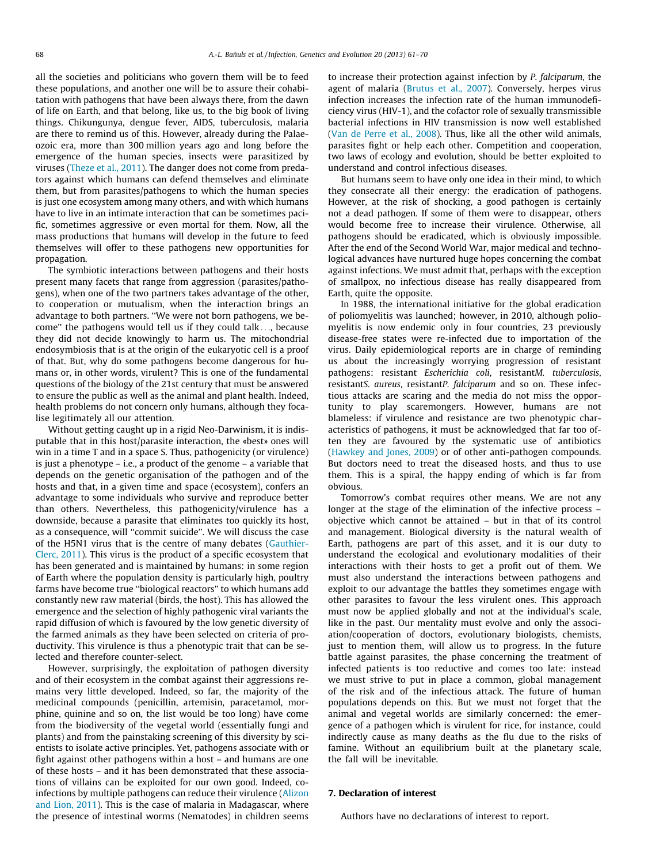all the societies and politicians who govern them will be to feed these populations, and another one will be to assure their cohabitation with pathogens that have been always there, from the dawn of life on Earth, and that belong, like us, to the big book of living things. Chikungunya, dengue fever, AIDS, tuberculosis, malaria are there to remind us of this. However, already during the Palaeozoic era, more than 300 million years ago and long before the emergence of the human species, insects were parasitized by viruses ([Theze et al., 2011](#page-9-0)). The danger does not come from predators against which humans can defend themselves and eliminate them, but from parasites/pathogens to which the human species is just one ecosystem among many others, and with which humans have to live in an intimate interaction that can be sometimes pacific, sometimes aggressive or even mortal for them. Now, all the mass productions that humans will develop in the future to feed themselves will offer to these pathogens new opportunities for propagation.

The symbiotic interactions between pathogens and their hosts present many facets that range from aggression (parasites/pathogens), when one of the two partners takes advantage of the other, to cooperation or mutualism, when the interaction brings an advantage to both partners. ''We were not born pathogens, we become'' the pathogens would tell us if they could talk..., because they did not decide knowingly to harm us. The mitochondrial endosymbiosis that is at the origin of the eukaryotic cell is a proof of that. But, why do some pathogens become dangerous for humans or, in other words, virulent? This is one of the fundamental questions of the biology of the 21st century that must be answered to ensure the public as well as the animal and plant health. Indeed, health problems do not concern only humans, although they focalise legitimately all our attention.

Without getting caught up in a rigid Neo-Darwinism, it is indisputable that in this host/parasite interaction, the «best» ones will win in a time T and in a space S. Thus, pathogenicity (or virulence) is just a phenotype – i.e., a product of the genome – a variable that depends on the genetic organisation of the pathogen and of the hosts and that, in a given time and space (ecosystem), confers an advantage to some individuals who survive and reproduce better than others. Nevertheless, this pathogenicity/virulence has a downside, because a parasite that eliminates too quickly its host, as a consequence, will ''commit suicide''. We will discuss the case of the H5N1 virus that is the centre of many debates [\(Gauthier-](#page-8-0)[Clerc, 2011](#page-8-0)). This virus is the product of a specific ecosystem that has been generated and is maintained by humans: in some region of Earth where the population density is particularly high, poultry farms have become true ''biological reactors'' to which humans add constantly new raw material (birds, the host). This has allowed the emergence and the selection of highly pathogenic viral variants the rapid diffusion of which is favoured by the low genetic diversity of the farmed animals as they have been selected on criteria of productivity. This virulence is thus a phenotypic trait that can be selected and therefore counter-select.

However, surprisingly, the exploitation of pathogen diversity and of their ecosystem in the combat against their aggressions remains very little developed. Indeed, so far, the majority of the medicinal compounds (penicillin, artemisin, paracetamol, morphine, quinine and so on, the list would be too long) have come from the biodiversity of the vegetal world (essentially fungi and plants) and from the painstaking screening of this diversity by scientists to isolate active principles. Yet, pathogens associate with or fight against other pathogens within a host – and humans are one of these hosts – and it has been demonstrated that these associations of villains can be exploited for our own good. Indeed, coinfections by multiple pathogens can reduce their virulence ([Alizon](#page-8-0) [and Lion, 2011](#page-8-0)). This is the case of malaria in Madagascar, where the presence of intestinal worms (Nematodes) in children seems to increase their protection against infection by P. falciparum, the agent of malaria (Brutus [et al., 2007](#page-8-0)). Conversely, herpes virus infection increases the infection rate of the human immunodeficiency virus (HIV-1), and the cofactor role of sexually transmissible bacterial infections in HIV transmission is now well established ([Van de Perre et al., 2008](#page-9-0)). Thus, like all the other wild animals, parasites fight or help each other. Competition and cooperation, two laws of ecology and evolution, should be better exploited to understand and control infectious diseases.

But humans seem to have only one idea in their mind, to which they consecrate all their energy: the eradication of pathogens. However, at the risk of shocking, a good pathogen is certainly not a dead pathogen. If some of them were to disappear, others would become free to increase their virulence. Otherwise, all pathogens should be eradicated, which is obviously impossible. After the end of the Second World War, major medical and technological advances have nurtured huge hopes concerning the combat against infections. We must admit that, perhaps with the exception of smallpox, no infectious disease has really disappeared from Earth, quite the opposite.

In 1988, the international initiative for the global eradication of poliomyelitis was launched; however, in 2010, although poliomyelitis is now endemic only in four countries, 23 previously disease-free states were re-infected due to importation of the virus. Daily epidemiological reports are in charge of reminding us about the increasingly worrying progression of resistant pathogens: resistant Escherichia coli, resistantM. tuberculosis, resistantS. aureus, resistantP. falciparum and so on. These infectious attacks are scaring and the media do not miss the opportunity to play scaremongers. However, humans are not blameless: if virulence and resistance are two phenotypic characteristics of pathogens, it must be acknowledged that far too often they are favoured by the systematic use of antibiotics ([Hawkey and Jones, 2009\)](#page-8-0) or of other anti-pathogen compounds. But doctors need to treat the diseased hosts, and thus to use them. This is a spiral, the happy ending of which is far from obvious.

Tomorrow's combat requires other means. We are not any longer at the stage of the elimination of the infective process – objective which cannot be attained – but in that of its control and management. Biological diversity is the natural wealth of Earth, pathogens are part of this asset, and it is our duty to understand the ecological and evolutionary modalities of their interactions with their hosts to get a profit out of them. We must also understand the interactions between pathogens and exploit to our advantage the battles they sometimes engage with other parasites to favour the less virulent ones. This approach must now be applied globally and not at the individual's scale, like in the past. Our mentality must evolve and only the association/cooperation of doctors, evolutionary biologists, chemists, just to mention them, will allow us to progress. In the future battle against parasites, the phase concerning the treatment of infected patients is too reductive and comes too late: instead we must strive to put in place a common, global management of the risk and of the infectious attack. The future of human populations depends on this. But we must not forget that the animal and vegetal worlds are similarly concerned: the emergence of a pathogen which is virulent for rice, for instance, could indirectly cause as many deaths as the flu due to the risks of famine. Without an equilibrium built at the planetary scale, the fall will be inevitable.

## 7. Declaration of interest

Authors have no declarations of interest to report.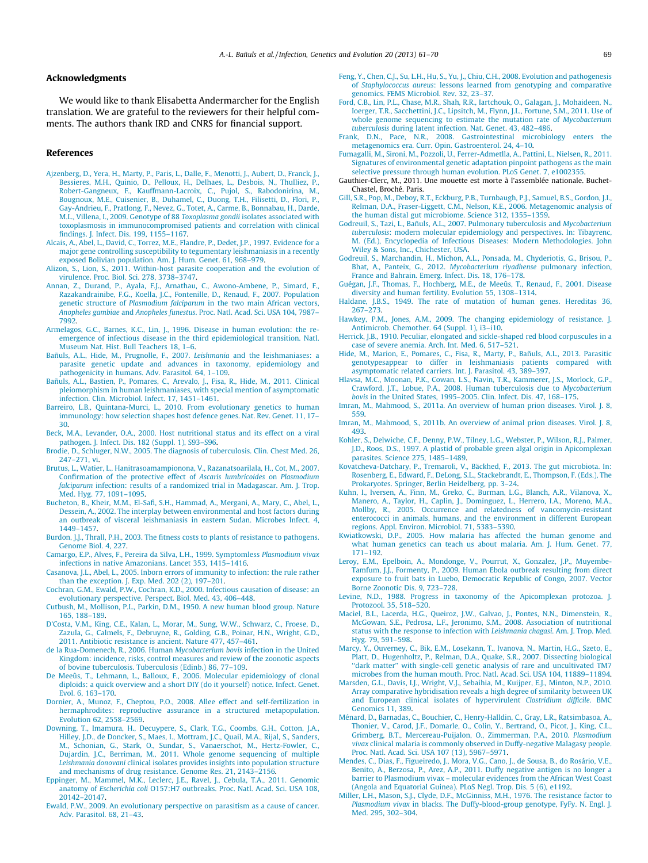## <span id="page-8-0"></span>Acknowledgments

We would like to thank Elisabetta Andermarcher for the English translation. We are grateful to the reviewers for their helpful comments. The authors thank IRD and CNRS for financial support.

#### References

- [Ajzenberg, D., Yera, H., Marty, P., Paris, L., Dalle, F., Menotti, J., Aubert, D., Franck, J.,](http://refhub.elsevier.com/S1567-1348(13)00301-8/h0005) [Bessieres, M.H., Quinio, D., Pelloux, H., Delhaes, L., Desbois, N., Thulliez, P.,](http://refhub.elsevier.com/S1567-1348(13)00301-8/h0005) [Robert-Gangneux, F., Kauffmann-Lacroix, C., Pujol, S., Rabodonirina, M.,](http://refhub.elsevier.com/S1567-1348(13)00301-8/h0005) [Bougnoux, M.E., Cuisenier, B., Duhamel, C., Duong, T.H., Filisetti, D., Flori, P.,](http://refhub.elsevier.com/S1567-1348(13)00301-8/h0005) [Gay-Andrieu, F., Pratlong, F., Nevez, G., Totet, A., Carme, B., Bonnabau, H., Darde,](http://refhub.elsevier.com/S1567-1348(13)00301-8/h0005) [M.L., Villena, I., 2009. Genotype of 88](http://refhub.elsevier.com/S1567-1348(13)00301-8/h0005) Toxoplasma gondii isolates associated with [toxoplasmosis in immunocompromised patients and correlation with clinical](http://refhub.elsevier.com/S1567-1348(13)00301-8/h0005) [findings. J. Infect. Dis. 199, 1155–1167.](http://refhub.elsevier.com/S1567-1348(13)00301-8/h0005)
- [Alcais, A., Abel, L., David, C., Torrez, M.E., Flandre, P., Dedet, J.P., 1997. Evidence for a](http://refhub.elsevier.com/S1567-1348(13)00301-8/h0010) [major gene controlling susceptibility to tegumentary leishmaniasis in a recently](http://refhub.elsevier.com/S1567-1348(13)00301-8/h0010) [exposed Bolivian population. Am. J. Hum. Genet. 61, 968–979.](http://refhub.elsevier.com/S1567-1348(13)00301-8/h0010)
- [Alizon, S., Lion, S., 2011. Within-host parasite cooperation and the evolution of](http://refhub.elsevier.com/S1567-1348(13)00301-8/h0015) [virulence. Proc. Biol. Sci. 278, 3738–3747.](http://refhub.elsevier.com/S1567-1348(13)00301-8/h0015)
- [Annan, Z., Durand, P., Ayala, F.J., Arnathau, C., Awono-Ambene, P., Simard, F.,](http://refhub.elsevier.com/S1567-1348(13)00301-8/h0020) [Razakandrainibe, F.G., Koella, J.C., Fontenille, D., Renaud, F., 2007. Population](http://refhub.elsevier.com/S1567-1348(13)00301-8/h0020) genetic structure of Plasmodium falciparum [in the two main African vectors,](http://refhub.elsevier.com/S1567-1348(13)00301-8/h0020) Anopheles gambiae and Anopheles funestus[. Proc. Natl. Acad. Sci. USA 104, 7987–](http://refhub.elsevier.com/S1567-1348(13)00301-8/h0020) [7992.](http://refhub.elsevier.com/S1567-1348(13)00301-8/h0020)
- [Armelagos, G.C., Barnes, K.C., Lin, J., 1996. Disease in human evolution: the re](http://refhub.elsevier.com/S1567-1348(13)00301-8/h0025)[emergence of infectious disease in the third epidemiological transition. Natl.](http://refhub.elsevier.com/S1567-1348(13)00301-8/h0025) [Museum Nat. Hist. Bull Teachers 18, 1–6.](http://refhub.elsevier.com/S1567-1348(13)00301-8/h0025)
- [Bañuls, A.L., Hide, M., Prugnolle, F., 2007.](http://refhub.elsevier.com/S1567-1348(13)00301-8/h0030) Leishmania and the leishmaniases: a [parasite genetic update and advances in taxonomy, epidemiology and](http://refhub.elsevier.com/S1567-1348(13)00301-8/h0030) [pathogenicity in humans. Adv. Parasitol. 64, 1–109.](http://refhub.elsevier.com/S1567-1348(13)00301-8/h0030)
- [Bañuls, A.L., Bastien, P., Pomares, C., Arevalo, J., Fisa, R., Hide, M., 2011. Clinical](http://refhub.elsevier.com/S1567-1348(13)00301-8/h0035) [pleiomorphism in human leishmaniases, with special mention of asymptomatic](http://refhub.elsevier.com/S1567-1348(13)00301-8/h0035) [infection. Clin. Microbiol. Infect. 17, 1451–1461.](http://refhub.elsevier.com/S1567-1348(13)00301-8/h0035)
- [Barreiro, L.B., Quintana-Murci, L., 2010. From evolutionary genetics to human](http://refhub.elsevier.com/S1567-1348(13)00301-8/h0040) [immunology: how selection shapes host defence genes. Nat. Rev. Genet. 11, 17–](http://refhub.elsevier.com/S1567-1348(13)00301-8/h0040) [30](http://refhub.elsevier.com/S1567-1348(13)00301-8/h0040).
- [Beck, M.A., Levander, O.A., 2000. Host nutritional status and its effect on a viral](http://refhub.elsevier.com/S1567-1348(13)00301-8/h0045) [pathogen. J. Infect. Dis. 182 \(Suppl. 1\), S93–S96.](http://refhub.elsevier.com/S1567-1348(13)00301-8/h0045)
- [Brodie, D., Schluger, N.W., 2005. The diagnosis of tuberculosis. Clin. Chest Med. 26,](http://refhub.elsevier.com/S1567-1348(13)00301-8/h0050) [247–271, vi](http://refhub.elsevier.com/S1567-1348(13)00301-8/h0050).
- [Brutus, L., Watier, L., Hanitrasoamampionona, V., Razanatsoarilala, H., Cot, M., 2007.](http://refhub.elsevier.com/S1567-1348(13)00301-8/h0055) [Confirmation of the protective effect of](http://refhub.elsevier.com/S1567-1348(13)00301-8/h0055) Ascaris lumbricoides on Plasmodium falciparum [infection: results of a randomized trial in Madagascar. Am. J. Trop.](http://refhub.elsevier.com/S1567-1348(13)00301-8/h0055) [Med. Hyg. 77, 1091–1095.](http://refhub.elsevier.com/S1567-1348(13)00301-8/h0055)
- [Bucheton, B., Kheir, M.M., El-Safi, S.H., Hammad, A., Mergani, A., Mary, C., Abel, L.,](http://refhub.elsevier.com/S1567-1348(13)00301-8/h0060) [Dessein, A., 2002. The interplay between environmental and host factors during](http://refhub.elsevier.com/S1567-1348(13)00301-8/h0060) [an outbreak of visceral leishmaniasis in eastern Sudan. Microbes Infect. 4,](http://refhub.elsevier.com/S1567-1348(13)00301-8/h0060) [1449–1457.](http://refhub.elsevier.com/S1567-1348(13)00301-8/h0060)
- [Burdon, J.J., Thrall, P.H., 2003. The fitness costs to plants of resistance to pathogens.](http://refhub.elsevier.com/S1567-1348(13)00301-8/h0065) [Genome Biol. 4, 227.](http://refhub.elsevier.com/S1567-1348(13)00301-8/h0065)
- [Camargo, E.P., Alves, F., Pereira da Silva, L.H., 1999. Symptomless](http://refhub.elsevier.com/S1567-1348(13)00301-8/h0070) Plasmodium vivax [infections in native Amazonians. Lancet 353, 1415–1416.](http://refhub.elsevier.com/S1567-1348(13)00301-8/h0070)
- [Casanova, J.L., Abel, L., 2005. Inborn errors of immunity to infection: the rule rather](http://refhub.elsevier.com/S1567-1348(13)00301-8/h0075) than [the exception. J. Exp. Med. 202 \(2\), 197–201.](http://refhub.elsevier.com/S1567-1348(13)00301-8/h0075)
- [Cochran, G.M., Ewald, P.W., Cochran, K.D., 2000. Infectious causation of disease: an](http://refhub.elsevier.com/S1567-1348(13)00301-8/h0080) [evolutionary perspective. Perspect. Biol. Med. 43, 406–448.](http://refhub.elsevier.com/S1567-1348(13)00301-8/h0080)
- [Cutbush, M., Mollison, P.L., Parkin, D.M., 1950. A new human blood group. Nature](http://refhub.elsevier.com/S1567-1348(13)00301-8/h0085) [165, 188–189](http://refhub.elsevier.com/S1567-1348(13)00301-8/h0085).
- [D'Costa, V.M., King, C.E., Kalan, L., Morar, M., Sung, W.W., Schwarz, C., Froese, D.,](http://refhub.elsevier.com/S1567-1348(13)00301-8/h0090) [Zazula, G., Calmels, F., Debruyne, R., Golding, G.B., Poinar, H.N., Wright, G.D.,](http://refhub.elsevier.com/S1567-1348(13)00301-8/h0090) [2011. Antibiotic resistance is ancient. Nature 477, 457–461](http://refhub.elsevier.com/S1567-1348(13)00301-8/h0090).
- [de la Rua-Domenech, R., 2006. Human](http://refhub.elsevier.com/S1567-1348(13)00301-8/h0095) Mycobacterium bovis infection in the United [Kingdom: incidence, risks, control measures and review of the zoonotic aspects](http://refhub.elsevier.com/S1567-1348(13)00301-8/h0095) [of bovine tuberculosis. Tuberculosis \(Edinb.\) 86, 77–109.](http://refhub.elsevier.com/S1567-1348(13)00301-8/h0095)
- [De Meeûs, T., Lehmann, L., Balloux, F., 2006. Molecular epidemiology of clonal](http://refhub.elsevier.com/S1567-1348(13)00301-8/h0100) [diploids: a quick overview and a short DIY \(do it yourself\) notice. Infect. Genet.](http://refhub.elsevier.com/S1567-1348(13)00301-8/h0100) [Evol. 6, 163–170](http://refhub.elsevier.com/S1567-1348(13)00301-8/h0100).
- [Dornier, A., Munoz, F., Cheptou, P.O., 2008. Allee effect and self-fertilization in](http://refhub.elsevier.com/S1567-1348(13)00301-8/h0105) [hermaphrodites: reproductive assurance in a structured metapopulation.](http://refhub.elsevier.com/S1567-1348(13)00301-8/h0105) [Evolution 62, 2558–2569](http://refhub.elsevier.com/S1567-1348(13)00301-8/h0105).
- [Downing, T., Imamura, H., Decuypere, S., Clark, T.G., Coombs, G.H., Cotton, J.A.,](http://refhub.elsevier.com/S1567-1348(13)00301-8/h0110) [Hilley, J.D., de Doncker, S., Maes, I., Mottram, J.C., Quail, M.A., Rijal, S., Sanders,](http://refhub.elsevier.com/S1567-1348(13)00301-8/h0110) [M., Schonian, G., Stark, O., Sundar, S., Vanaerschot, M., Hertz-Fowler, C.,](http://refhub.elsevier.com/S1567-1348(13)00301-8/h0110) [Dujardin, J.C., Berriman, M., 2011. Whole genome sequencing of multiple](http://refhub.elsevier.com/S1567-1348(13)00301-8/h0110) Leishmania donovani [clinical isolates provides insights into population structure](http://refhub.elsevier.com/S1567-1348(13)00301-8/h0110) [and mechanisms of drug resistance. Genome Res. 21, 2143–2156.](http://refhub.elsevier.com/S1567-1348(13)00301-8/h0110)
- [Eppinger, M., Mammel, M.K., Leclerc, J.E., Ravel, J., Cebula, T.A., 2011. Genomic](http://refhub.elsevier.com/S1567-1348(13)00301-8/h0115) anatomy of Escherichia coli [O157:H7 outbreaks. Proc. Natl. Acad. Sci. USA 108,](http://refhub.elsevier.com/S1567-1348(13)00301-8/h0115) [20142–20147](http://refhub.elsevier.com/S1567-1348(13)00301-8/h0115).
- [Ewald, P.W., 2009. An evolutionary perspective on parasitism as a cause of cancer.](http://refhub.elsevier.com/S1567-1348(13)00301-8/h0120) [Adv. Parasitol. 68, 21–43](http://refhub.elsevier.com/S1567-1348(13)00301-8/h0120).
- [Feng, Y., Chen, C.J., Su, L.H., Hu, S., Yu, J., Chiu, C.H., 2008. Evolution and pathogenesis](http://refhub.elsevier.com/S1567-1348(13)00301-8/h0125) of Staphylococcus aureus[: lessons learned from genotyping and comparative](http://refhub.elsevier.com/S1567-1348(13)00301-8/h0125) [genomics. FEMS Microbiol. Rev. 32, 23–37](http://refhub.elsevier.com/S1567-1348(13)00301-8/h0125).
- [Ford, C.B., Lin, P.L., Chase, M.R., Shah, R.R., Iartchouk, O., Galagan, J., Mohaideen, N.,](http://refhub.elsevier.com/S1567-1348(13)00301-8/h0130) [Ioerger, T.R., Sacchettini, J.C., Lipsitch, M., Flynn, J.L., Fortune, S.M., 2011. Use of](http://refhub.elsevier.com/S1567-1348(13)00301-8/h0130) [whole genome sequencing to estimate the mutation rate of](http://refhub.elsevier.com/S1567-1348(13)00301-8/h0130) Mycobacterium tuberculosis [during latent infection. Nat. Genet. 43, 482–486](http://refhub.elsevier.com/S1567-1348(13)00301-8/h0130).
- [Frank, D.N., Pace, N.R., 2008. Gastrointestinal microbiology enters the](http://refhub.elsevier.com/S1567-1348(13)00301-8/h0135) metagenomics [era. Curr. Opin. Gastroenterol. 24, 4–10](http://refhub.elsevier.com/S1567-1348(13)00301-8/h0135).
- [Fumagalli, M., Sironi, M., Pozzoli, U., Ferrer-Admetlla, A., Pattini, L., Nielsen, R., 2011.](http://refhub.elsevier.com/S1567-1348(13)00301-8/h0140) [Signatures of environmental genetic adaptation pinpoint pathogens as the main](http://refhub.elsevier.com/S1567-1348(13)00301-8/h0140) [selective pressure through human evolution. PLoS Genet. 7, e1002355](http://refhub.elsevier.com/S1567-1348(13)00301-8/h0140).
- Gauthier-Clerc, M., 2011. Une mouette est morte à l'assemblée nationale. Buchet-Chastel, Broché. Paris.
- [Gill, S.R., Pop, M., Deboy, R.T., Eckburg, P.B., Turnbaugh, P.J., Samuel, B.S., Gordon, J.I.,](http://refhub.elsevier.com/S1567-1348(13)00301-8/h0150) Relman, [D.A., Fraser-Liggett, C.M., Nelson, K.E., 2006. Metagenomic analysis of](http://refhub.elsevier.com/S1567-1348(13)00301-8/h0150) [the human distal gut microbiome. Science 312, 1355–1359.](http://refhub.elsevier.com/S1567-1348(13)00301-8/h0150)
- [Godreuil, S., Tazi, L., Bañuls, A.L., 2007. Pulmonary tuberculosis and](http://refhub.elsevier.com/S1567-1348(13)00301-8/h0155) Mycobacterium tuberculosis[: modern molecular epidemiology and perspectives. In: Tibayrenc,](http://refhub.elsevier.com/S1567-1348(13)00301-8/h0155) [M. \(Ed.\), Encyclopedia of Infectious Diseases: Modern Methodologies. John](http://refhub.elsevier.com/S1567-1348(13)00301-8/h0155) [Wiley & Sons, Inc., Chichester, USA.](http://refhub.elsevier.com/S1567-1348(13)00301-8/h0155)
- [Godreuil, S., Marchandin, H., Michon, A.L., Ponsada, M., Chyderiotis, G., Brisou, P.,](http://refhub.elsevier.com/S1567-1348(13)00301-8/h0160) [Bhat, A., Panteix, G., 2012.](http://refhub.elsevier.com/S1567-1348(13)00301-8/h0160) Mycobacterium riyadhense pulmonary infection, [France and Bahrain. Emerg. Infect. Dis. 18, 176–178](http://refhub.elsevier.com/S1567-1348(13)00301-8/h0160).
- [Guégan, J.F., Thomas, F., Hochberg, M.E., de Meeûs, T., Renaud, F., 2001. Disease](http://refhub.elsevier.com/S1567-1348(13)00301-8/h0165) [diversity and human fertility. Evolution 55, 1308–1314.](http://refhub.elsevier.com/S1567-1348(13)00301-8/h0165)
- [Haldane, J.B.S., 1949. The rate of mutation of human genes. Hereditas 36,](http://refhub.elsevier.com/S1567-1348(13)00301-8/h0170) [267–273](http://refhub.elsevier.com/S1567-1348(13)00301-8/h0170).
- [Hawkey, P.M., Jones, A.M., 2009. The changing epidemiology of resistance. J.](http://refhub.elsevier.com/S1567-1348(13)00301-8/h0175) [Antimicrob. Chemother. 64 \(Suppl. 1\), i3–i10](http://refhub.elsevier.com/S1567-1348(13)00301-8/h0175).
- [Herrick, J.B., 1910. Peculiar, elongated and sickle-shaped red blood corpuscules in a](http://refhub.elsevier.com/S1567-1348(13)00301-8/h0180) [case of severe anemia. Arch. Int. Med. 6, 517–521](http://refhub.elsevier.com/S1567-1348(13)00301-8/h0180).
- [Hide, M., Marion, E., Pomares, C., Fisa, R., Marty, P., Bañuls, A.L., 2013. Parasitic](http://refhub.elsevier.com/S1567-1348(13)00301-8/h3175) [genotypesappear to differ in leishmaniasis patients compared with](http://refhub.elsevier.com/S1567-1348(13)00301-8/h3175) [asymptomatic related carriers. Int. J. Parasitol. 43, 389–397](http://refhub.elsevier.com/S1567-1348(13)00301-8/h3175).
- [Hlavsa, M.C., Moonan, P.K., Cowan, L.S., Navin, T.R., Kammerer, J.S., Morlock, G.P.,](http://refhub.elsevier.com/S1567-1348(13)00301-8/h0185) [Crawford, J.T., Lobue, P.A., 2008. Human tuberculosis due to](http://refhub.elsevier.com/S1567-1348(13)00301-8/h0185) Mycobacterium bovis [in the United States, 1995–2005. Clin. Infect. Dis. 47, 168–175](http://refhub.elsevier.com/S1567-1348(13)00301-8/h0185).
- [Imran, M., Mahmood, S., 2011a. An overview of human prion diseases. Virol. J. 8,](http://refhub.elsevier.com/S1567-1348(13)00301-8/h0190) [559.](http://refhub.elsevier.com/S1567-1348(13)00301-8/h0190)
- [Imran, M., Mahmood, S., 2011b. An overview of animal prion diseases. Virol. J. 8,](http://refhub.elsevier.com/S1567-1348(13)00301-8/h0195) [493.](http://refhub.elsevier.com/S1567-1348(13)00301-8/h0195)
- [Kohler, S., Delwiche, C.F., Denny, P.W., Tilney, L.G., Webster, P., Wilson, R.J., Palmer,](http://refhub.elsevier.com/S1567-1348(13)00301-8/h0205) [J.D., Roos, D.S., 1997. A plastid of probable green algal origin in Apicomplexan](http://refhub.elsevier.com/S1567-1348(13)00301-8/h0205) [parasites. Science 275, 1485–1489](http://refhub.elsevier.com/S1567-1348(13)00301-8/h0205).
- [Kovatcheva-Datchary, P., Tremaroli, V., Bäckhed, F., 2013. The gut microbiota. In:](http://refhub.elsevier.com/S1567-1348(13)00301-8/h0200) [Rosenberg, E., Edward, F., DeLong, S.L., Stackebrandt, E., Thompson, F. \(Eds.\), The](http://refhub.elsevier.com/S1567-1348(13)00301-8/h0200) [Prokaryotes. Springer, Berlin Heidelberg, pp. 3–24](http://refhub.elsevier.com/S1567-1348(13)00301-8/h0200).
- [Kuhn, I., Iversen, A., Finn, M., Greko, C., Burman, L.G., Blanch, A.R., Vilanova, X.,](http://refhub.elsevier.com/S1567-1348(13)00301-8/h0210) [Manero, A., Taylor, H., Caplin, J., Dominguez, L., Herrero, I.A., Moreno, M.A.,](http://refhub.elsevier.com/S1567-1348(13)00301-8/h0210) [Mollby, R., 2005. Occurrence and relatedness of vancomycin-resistant](http://refhub.elsevier.com/S1567-1348(13)00301-8/h0210) [enterococci in animals, humans, and the environment in different European](http://refhub.elsevier.com/S1567-1348(13)00301-8/h0210) [regions. Appl. Environ. Microbiol. 71, 5383–5390](http://refhub.elsevier.com/S1567-1348(13)00301-8/h0210).
- [Kwiatkowski, D.P., 2005. How malaria has affected the human genome and](http://refhub.elsevier.com/S1567-1348(13)00301-8/h0215) [what human genetics can teach us about malaria. Am. J. Hum. Genet. 77,](http://refhub.elsevier.com/S1567-1348(13)00301-8/h0215) [171–192](http://refhub.elsevier.com/S1567-1348(13)00301-8/h0215).
- [Leroy, E.M., Epelboin, A., Mondonge, V., Pourrut, X., Gonzalez, J.P., Muyembe-](http://refhub.elsevier.com/S1567-1348(13)00301-8/h0220)[Tamfum, J.J., Formenty, P., 2009. Human Ebola outbreak resulting from direct](http://refhub.elsevier.com/S1567-1348(13)00301-8/h0220) [exposure to fruit bats in Luebo, Democratic Republic of Congo, 2007. Vector](http://refhub.elsevier.com/S1567-1348(13)00301-8/h0220) [Borne Zoonotic Dis. 9, 723–728](http://refhub.elsevier.com/S1567-1348(13)00301-8/h0220).
- [Levine, N.D., 1988. Progress in taxonomy of the Apicomplexan protozoa. J.](http://refhub.elsevier.com/S1567-1348(13)00301-8/h0225) [Protozool. 35, 518–520.](http://refhub.elsevier.com/S1567-1348(13)00301-8/h0225)
- [Maciel, B.L., Lacerda, H.G., Queiroz, J.W., Galvao, J., Pontes, N.N., Dimenstein, R.,](http://refhub.elsevier.com/S1567-1348(13)00301-8/h0230) [McGowan, S.E., Pedrosa, L.F., Jeronimo, S.M., 2008. Association of nutritional](http://refhub.elsevier.com/S1567-1348(13)00301-8/h0230) [status with the response to infection with](http://refhub.elsevier.com/S1567-1348(13)00301-8/h0230) Leishmania chagasi. Am. J. Trop. Med. [Hyg. 79, 591–598](http://refhub.elsevier.com/S1567-1348(13)00301-8/h0230).
- [Marcy, Y., Ouverney, C., Bik, E.M., Losekann, T., Ivanova, N., Martin, H.G., Szeto, E.,](http://refhub.elsevier.com/S1567-1348(13)00301-8/h0235) [Platt, D., Hugenholtz, P., Relman, D.A., Quake, S.R., 2007. Dissecting biological](http://refhub.elsevier.com/S1567-1348(13)00301-8/h0235) "dark matter" with single-cell genetic analysis of rare and uncultivated TM7 [microbes from the human mouth. Proc. Natl. Acad. Sci. USA 104, 11889–11894.](http://refhub.elsevier.com/S1567-1348(13)00301-8/h0235)
- [Marsden, G.L., Davis, I.J., Wright, V.J., Sebaihia, M., Kuijper, E.J., Minton, N.P., 2010.](http://refhub.elsevier.com/S1567-1348(13)00301-8/h0240) [Array comparative hybridisation reveals a high degree of similarity between UK](http://refhub.elsevier.com/S1567-1348(13)00301-8/h0240) [and European clinical isolates of hypervirulent](http://refhub.elsevier.com/S1567-1348(13)00301-8/h0240) Clostridium difficile. BMC [Genomics 11, 389](http://refhub.elsevier.com/S1567-1348(13)00301-8/h0240).
- [Ménard, D., Barnadas, C., Bouchier, C., Henry-Halldin, C., Gray, L.R., Ratsimbasoa, A.,](http://refhub.elsevier.com/S1567-1348(13)00301-8/h0245) [Thonier, V., Carod, J.F., Domarle, O., Colin, Y., Bertrand, O., Picot, J., King, C.L.,](http://refhub.elsevier.com/S1567-1348(13)00301-8/h0245) [Grimberg, B.T., Mercereau-Puijalon, O., Zimmerman, P.A., 2010.](http://refhub.elsevier.com/S1567-1348(13)00301-8/h0245) Plasmodium vivax [clinical malaria is commonly observed in Duffy-negative Malagasy people.](http://refhub.elsevier.com/S1567-1348(13)00301-8/h0245) [Proc. Natl. Acad. Sci. USA 107 \(13\), 5967–5971.](http://refhub.elsevier.com/S1567-1348(13)00301-8/h0245)
- [Mendes, C., Dias, F., Figueiredo, J., Mora, V.G., Cano, J., de Sousa, B., do Rosário, V.E.,](http://refhub.elsevier.com/S1567-1348(13)00301-8/h0250) [Benito, A., Berzosa, P., Arez, A.P., 2011. Duffy negative antigen is no longer a](http://refhub.elsevier.com/S1567-1348(13)00301-8/h0250) [barrier to Plasmodium vivax – molecular evidences from the African West Coast](http://refhub.elsevier.com/S1567-1348(13)00301-8/h0250) [\(Angola and Equatorial Guinea\). PLoS Negl. Trop. Dis. 5 \(6\), e1192](http://refhub.elsevier.com/S1567-1348(13)00301-8/h0250).
- [Miller, L.H., Mason, S.J., Clyde, D.F., McGinniss, M.H., 1976. The resistance factor to](http://refhub.elsevier.com/S1567-1348(13)00301-8/h0255) Plasmodium vivax [in blacks. The Duffy-blood-group genotype, FyFy. N. Engl. J.](http://refhub.elsevier.com/S1567-1348(13)00301-8/h0255) [Med. 295, 302–304](http://refhub.elsevier.com/S1567-1348(13)00301-8/h0255).